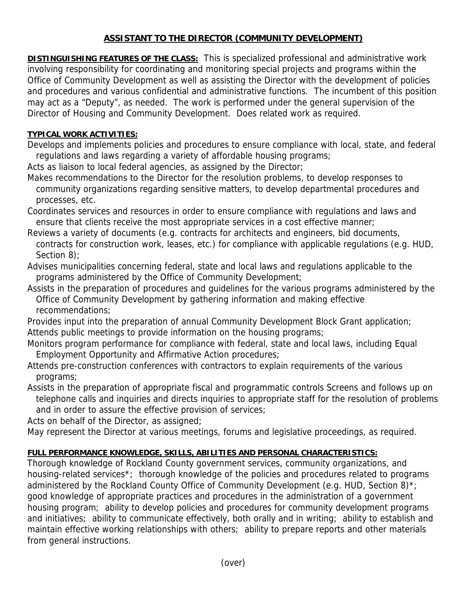## **ASSISTANT TO THE DIRECTOR (COMMUNITY DEVELOPMENT)**

**DISTINGUISHING FEATURES OF THE CLASS:** This is specialized professional and administrative work involving responsibility for coordinating and monitoring special projects and programs within the Office of Community Development as well as assisting the Director with the development of policies and procedures and various confidential and administrative functions. The incumbent of this position may act as a "Deputy", as needed. The work is performed under the general supervision of the Director of Housing and Community Development. Does related work as required.

## **TYPICAL WORK ACTIVITIES:**

Develops and implements policies and procedures to ensure compliance with local, state, and federal regulations and laws regarding a variety of affordable housing programs;

Acts as liaison to local federal agencies, as assigned by the Director;

Makes recommendations to the Director for the resolution problems, to develop responses to community organizations regarding sensitive matters, to develop departmental procedures and processes, etc.

Coordinates services and resources in order to ensure compliance with regulations and laws and ensure that clients receive the most appropriate services in a cost effective manner;

- Reviews a variety of documents (e.g. contracts for architects and engineers, bid documents, contracts for construction work, leases, etc.) for compliance with applicable regulations (e.g. HUD, Section 8):
- Advises municipalities concerning federal, state and local laws and regulations applicable to the programs administered by the Office of Community Development;
- Assists in the preparation of procedures and guidelines for the various programs administered by the Office of Community Development by gathering information and making effective recommendations;

Provides input into the preparation of annual Community Development Block Grant application; Attends public meetings to provide information on the housing programs;

- Monitors program performance for compliance with federal, state and local laws, including Equal Employment Opportunity and Affirmative Action procedures;
- Attends pre-construction conferences with contractors to explain requirements of the various programs;

Assists in the preparation of appropriate fiscal and programmatic controls Screens and follows up on telephone calls and inquiries and directs inquiries to appropriate staff for the resolution of problems and in order to assure the effective provision of services;

Acts on behalf of the Director, as assigned;

May represent the Director at various meetings, forums and legislative proceedings, as required.

## **FULL PERFORMANCE KNOWLEDGE, SKILLS, ABILITIES AND PERSONAL CHARACTERISTICS:**

Thorough knowledge of Rockland County government services, community organizations, and housing-related services\*; thorough knowledge of the policies and procedures related to programs administered by the Rockland County Office of Community Development (e.g. HUD, Section 8)\*; good knowledge of appropriate practices and procedures in the administration of a government housing program; ability to develop policies and procedures for community development programs and initiatives; ability to communicate effectively, both orally and in writing; ability to establish and maintain effective working relationships with others; ability to prepare reports and other materials from general instructions.